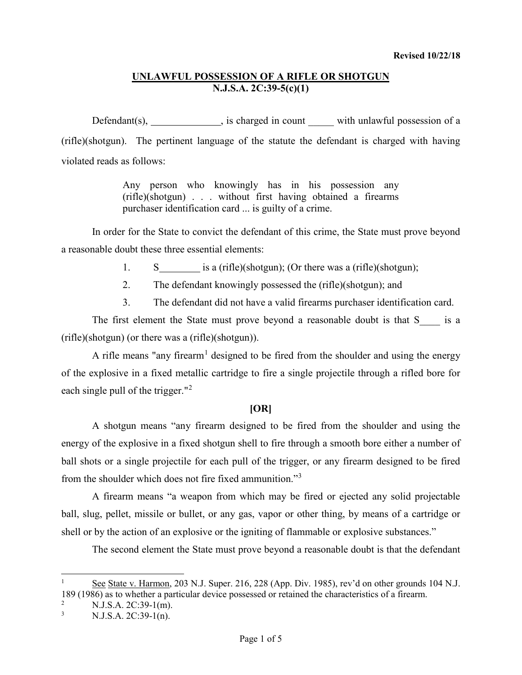Defendant(s), \_\_\_\_\_\_\_\_\_\_\_\_, is charged in count \_\_\_\_\_ with unlawful possession of a (rifle)(shotgun). The pertinent language of the statute the defendant is charged with having violated reads as follows:

> Any person who knowingly has in his possession any (rifle)(shotgun) . . . without first having obtained a firearms purchaser identification card ... is guilty of a crime.

In order for the State to convict the defendant of this crime, the State must prove beyond a reasonable doubt these three essential elements:

- 1. S is a (rifle)(shotgun); (Or there was a (rifle)(shotgun);
- 2. The defendant knowingly possessed the (rifle)(shotgun); and
- 3. The defendant did not have a valid firearms purchaser identification card.

The first element the State must prove beyond a reasonable doubt is that S\_\_\_\_ is a (rifle)(shotgun) (or there was a (rifle)(shotgun)).

A rifle means "any firearm<sup>[1](#page-0-0)</sup> designed to be fired from the shoulder and using the energy of the explosive in a fixed metallic cartridge to fire a single projectile through a rifled bore for each single pull of the trigger."<sup>[2](#page-0-1)</sup>

### **[OR]**

A shotgun means "any firearm designed to be fired from the shoulder and using the energy of the explosive in a fixed shotgun shell to fire through a smooth bore either a number of ball shots or a single projectile for each pull of the trigger, or any firearm designed to be fired from the shoulder which does not fire fixed ammunition."[3](#page-0-2)

A firearm means "a weapon from which may be fired or ejected any solid projectable ball, slug, pellet, missile or bullet, or any gas, vapor or other thing, by means of a cartridge or shell or by the action of an explosive or the igniting of flammable or explosive substances."

The second element the State must prove beyond a reasonable doubt is that the defendant

<span id="page-0-0"></span>See State v. Harmon, 203 N.J. Super. 216, 228 (App. Div. 1985), rev'd on other grounds 104 N.J. 189 (1986) as to whether a particular device possessed or retained the characteristics of a firearm.

<span id="page-0-2"></span><span id="page-0-1"></span><sup>&</sup>lt;sup>2</sup> N.J.S.A. 2C:39-1(m).<br><sup>3</sup> N.J.S.A. 2C:39-1(n).

N.J.S.A. 2C:39-1(n).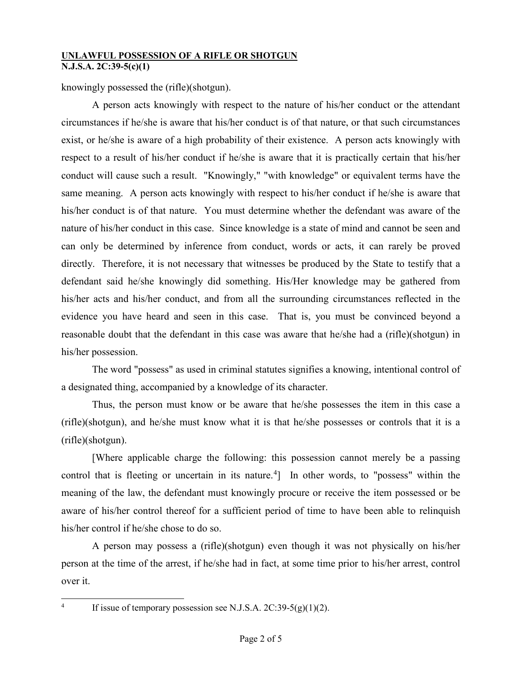knowingly possessed the (rifle)(shotgun).

A person acts knowingly with respect to the nature of his/her conduct or the attendant circumstances if he/she is aware that his/her conduct is of that nature, or that such circumstances exist, or he/she is aware of a high probability of their existence. A person acts knowingly with respect to a result of his/her conduct if he/she is aware that it is practically certain that his/her conduct will cause such a result. "Knowingly," "with knowledge" or equivalent terms have the same meaning. A person acts knowingly with respect to his/her conduct if he/she is aware that his/her conduct is of that nature. You must determine whether the defendant was aware of the nature of his/her conduct in this case. Since knowledge is a state of mind and cannot be seen and can only be determined by inference from conduct, words or acts, it can rarely be proved directly. Therefore, it is not necessary that witnesses be produced by the State to testify that a defendant said he/she knowingly did something. His/Her knowledge may be gathered from his/her acts and his/her conduct, and from all the surrounding circumstances reflected in the evidence you have heard and seen in this case. That is, you must be convinced beyond a reasonable doubt that the defendant in this case was aware that he/she had a (rifle)(shotgun) in his/her possession.

The word "possess" as used in criminal statutes signifies a knowing, intentional control of a designated thing, accompanied by a knowledge of its character.

Thus, the person must know or be aware that he/she possesses the item in this case a (rifle)(shotgun), and he/she must know what it is that he/she possesses or controls that it is a (rifle)(shotgun).

[Where applicable charge the following: this possession cannot merely be a passing control that is fleeting or uncertain in its nature.<sup>[4](#page-1-0)</sup>] In other words, to "possess" within the meaning of the law, the defendant must knowingly procure or receive the item possessed or be aware of his/her control thereof for a sufficient period of time to have been able to relinquish his/her control if he/she chose to do so.

A person may possess a (rifle)(shotgun) even though it was not physically on his/her person at the time of the arrest, if he/she had in fact, at some time prior to his/her arrest, control over it.

<span id="page-1-0"></span><sup>&</sup>lt;sup>4</sup> If issue of temporary possession see N.J.S.A. 2C:39-5(g)(1)(2).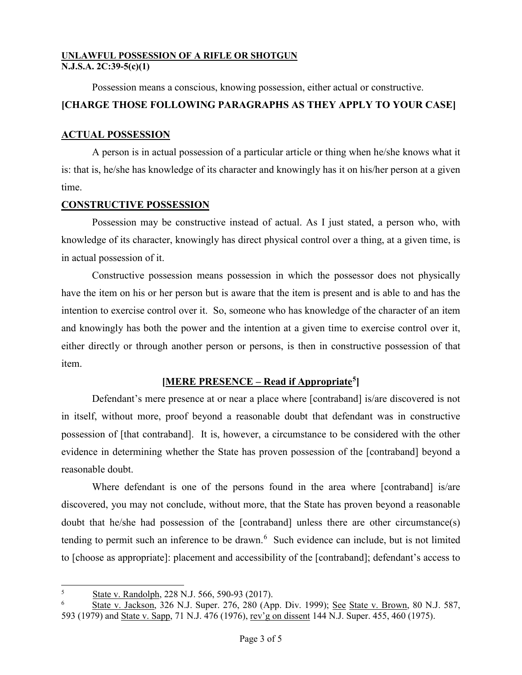Possession means a conscious, knowing possession, either actual or constructive.

# **[CHARGE THOSE FOLLOWING PARAGRAPHS AS THEY APPLY TO YOUR CASE]**

# **ACTUAL POSSESSION**

A person is in actual possession of a particular article or thing when he/she knows what it is: that is, he/she has knowledge of its character and knowingly has it on his/her person at a given time.

# **CONSTRUCTIVE POSSESSION**

Possession may be constructive instead of actual. As I just stated, a person who, with knowledge of its character, knowingly has direct physical control over a thing, at a given time, is in actual possession of it.

Constructive possession means possession in which the possessor does not physically have the item on his or her person but is aware that the item is present and is able to and has the intention to exercise control over it. So, someone who has knowledge of the character of an item and knowingly has both the power and the intention at a given time to exercise control over it, either directly or through another person or persons, is then in constructive possession of that item.

# **[MERE PRESENCE – Read if Appropriate[5\]](#page-2-0)**

Defendant's mere presence at or near a place where [contraband] is/are discovered is not in itself, without more, proof beyond a reasonable doubt that defendant was in constructive possession of [that contraband]. It is, however, a circumstance to be considered with the other evidence in determining whether the State has proven possession of the [contraband] beyond a reasonable doubt.

Where defendant is one of the persons found in the area where [contraband] is/are discovered, you may not conclude, without more, that the State has proven beyond a reasonable doubt that he/she had possession of the [contraband] unless there are other circumstance(s) tending to permit such an inference to be drawn.<sup>[6](#page-2-1)</sup> Such evidence can include, but is not limited to [choose as appropriate]: placement and accessibility of the [contraband]; defendant's access to

<span id="page-2-0"></span> <sup>5</sup> <sup>5</sup> State v. Randolph, 228 N.J. 566, 590-93 (2017).

<span id="page-2-1"></span><sup>6</sup> State v. Jackson, 326 N.J. Super. 276, 280 (App. Div. 1999); See State v. Brown, 80 N.J. 587, 593 (1979) and State v. Sapp, 71 N.J. 476 (1976), rev'g on dissent 144 N.J. Super. 455, 460 (1975).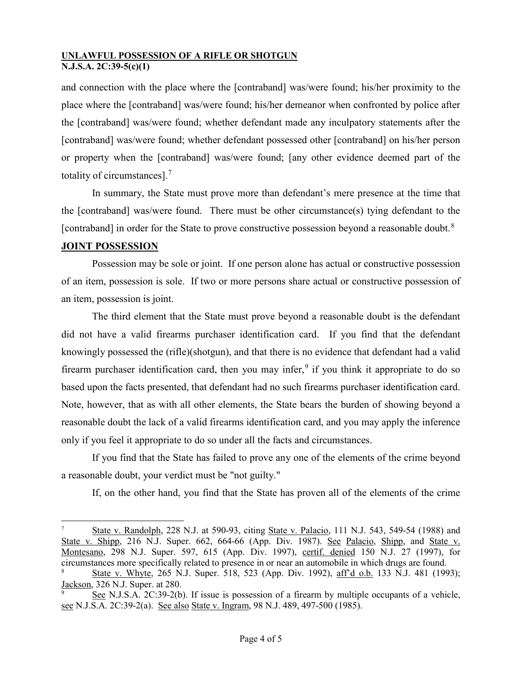and connection with the place where the [contraband] was/were found; his/her proximity to the place where the [contraband] was/were found; his/her demeanor when confronted by police after the [contraband] was/were found; whether defendant made any inculpatory statements after the [contraband] was/were found; whether defendant possessed other [contraband] on his/her person or property when the [contraband] was/were found; [any other evidence deemed part of the totality of circumstances].[7](#page-3-0)

In summary, the State must prove more than defendant's mere presence at the time that the [contraband] was/were found. There must be other circumstance(s) tying defendant to the [contraband] in order for the State to prove constructive possession beyond a reasonable doubt.<sup>[8](#page-3-1)</sup>

# **JOINT POSSESSION**

Possession may be sole or joint. If one person alone has actual or constructive possession of an item, possession is sole. If two or more persons share actual or constructive possession of an item, possession is joint.

The third element that the State must prove beyond a reasonable doubt is the defendant did not have a valid firearms purchaser identification card. If you find that the defendant knowingly possessed the (rifle)(shotgun), and that there is no evidence that defendant had a valid firearm purchaser identification card, then you may infer,<sup>[9](#page-3-2)</sup> if you think it appropriate to do so based upon the facts presented, that defendant had no such firearms purchaser identification card. Note, however, that as with all other elements, the State bears the burden of showing beyond a reasonable doubt the lack of a valid firearms identification card, and you may apply the inference only if you feel it appropriate to do so under all the facts and circumstances.

If you find that the State has failed to prove any one of the elements of the crime beyond a reasonable doubt, your verdict must be "not guilty."

If, on the other hand, you find that the State has proven all of the elements of the crime

<span id="page-3-0"></span>State v. Randolph, 228 N.J. at 590-93, citing State v. Palacio, 111 N.J. 543, 549-54 (1988) and State v. Shipp, 216 N.J. Super. 662, 664-66 (App. Div. 1987). See Palacio, Shipp, and State v. Montesano, 298 N.J. Super. 597, 615 (App. Div. 1997), certif. denied 150 N.J. 27 (1997), for circumstances more specifically related to presence in or near an automobile in which drugs are found.

<span id="page-3-1"></span><sup>8</sup> State v. Whyte, 265 N.J. Super. 518, 523 (App. Div. 1992), aff'd o.b. 133 N.J. 481 (1993); Jackson, 326 N.J. Super. at 280.

<span id="page-3-2"></span>See N.J.S.A. 2C:39-2(b). If issue is possession of a firearm by multiple occupants of a vehicle, see N.J.S.A. 2C:39-2(a). See also State v. Ingram, 98 N.J. 489, 497-500 (1985).